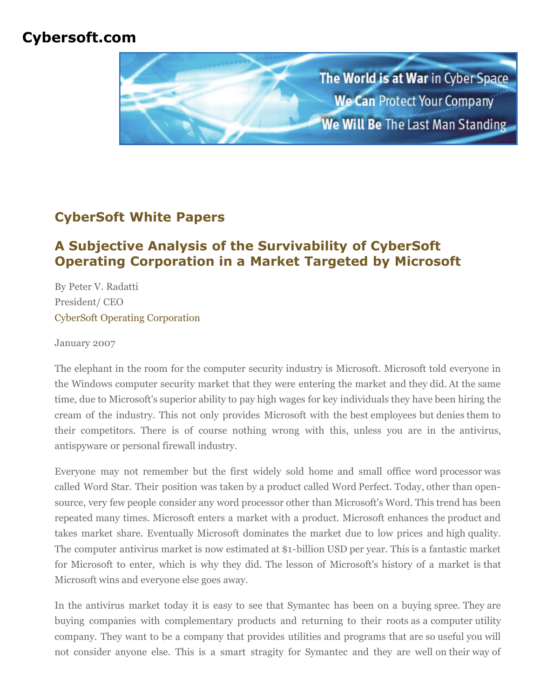# **Cybersoft.com**



## **CyberSoft White Papers**

# **A Subjective Analysis of the Survivability of CyberSoft Operating Corporation in a Market Targeted by Microsoft**

By Peter V. Radatti President/ CEO [CyberSoft Operating Corporation](http://www.cybersoft.com/)

January 2007

The elephant in the room for the computer security industry is Microsoft. Microsoft told everyone in the Windows computer security market that they were entering the market and they did. At the same time, due to Microsoft's superior ability to pay high wages for key individuals they have been hiring the cream of the industry. This not only provides Microsoft with the best employees but denies them to their competitors. There is of course nothing wrong with this, unless you are in the antivirus, antispyware or personal firewall industry.

Everyone may not remember but the first widely sold home and small office word processor was called Word Star. Their position was taken by a product called Word Perfect. Today, other than opensource, very few people consider any word processor other than Microsoft's Word. This trend has been repeated many times. Microsoft enters a market with a product. Microsoft enhances the product and takes market share. Eventually Microsoft dominates the market due to low prices and high quality. The computer antivirus market is now estimated at \$1-billion USD per year. This is a fantastic market for Microsoft to enter, which is why they did. The lesson of Microsoft's history of a market is that Microsoft wins and everyone else goes away.

In the antivirus market today it is easy to see that Symantec has been on a buying spree. They are buying companies with complementary products and returning to their roots as a computer utility company. They want to be a company that provides utilities and programs that are so useful you will not consider anyone else. This is a smart stragity for Symantec and they are well on their way of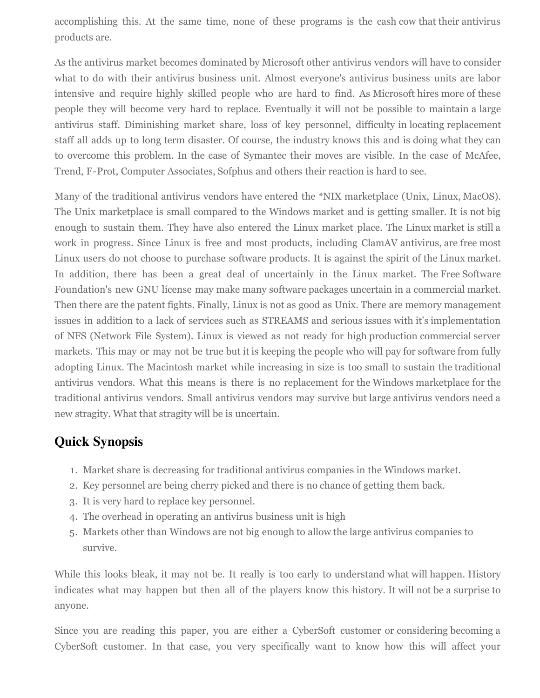accomplishing this. At the same time, none of these programs is the cash cow that their antivirus products are.

As the antivirus market becomes dominated by Microsoft other antivirus vendors will have to consider what to do with their antivirus business unit. Almost everyone's antivirus business units are labor intensive and require highly skilled people who are hard to find. As Microsoft hires more of these people they will become very hard to replace. Eventually it will not be possible to maintain a large antivirus staff. Diminishing market share, loss of key personnel, difficulty in locating replacement staff all adds up to long term disaster. Of course, the industry knows this and is doing what they can to overcome this problem. In the case of Symantec their moves are visible. In the case of McAfee, Trend, F-Prot, Computer Associates, Sofphus and others their reaction is hard to see.

Many of the traditional antivirus vendors have entered the \*NIX marketplace (Unix, Linux, MacOS). The Unix marketplace is small compared to the Windows market and is getting smaller. It is not big enough to sustain them. They have also entered the Linux market place. The Linux market is still a work in progress. Since Linux is free and most products, including ClamAV antivirus, are free most Linux users do not choose to purchase software products. It is against the spirit of the Linux market. In addition, there has been a great deal of uncertainly in the Linux market. The Free Software Foundation's new GNU license may make many software packages uncertain in a commercial market. Then there are the patent fights. Finally, Linux is not as good as Unix. There are memory management issues in addition to a lack of services such as STREAMS and serious issues with it's implementation of NFS (Network File System). Linux is viewed as not ready for high production commercial server markets. This may or may not be true but it is keeping the people who will pay for software from fully adopting Linux. The Macintosh market while increasing in size is too small to sustain the traditional antivirus vendors. What this means is there is no replacement for the Windows marketplace for the traditional antivirus vendors. Small antivirus vendors may survive but large antivirus vendors need a new stragity. What that stragity will be is uncertain.

#### **Quick Synopsis**

- 1. Market share is decreasing for traditional antivirus companies in the Windows market.
- 2. Key personnel are being cherry picked and there is no chance of getting them back.
- 3. It is very hard to replace key personnel.
- 4. The overhead in operating an antivirus business unit is high
- 5. Markets other than Windows are not big enough to allow the large antivirus companies to survive.

While this looks bleak, it may not be. It really is too early to understand what will happen. History indicates what may happen but then all of the players know this history. It will not be a surprise to anyone.

Since you are reading this paper, you are either a CyberSoft customer or considering becoming a CyberSoft customer. In that case, you very specifically want to know how this will affect your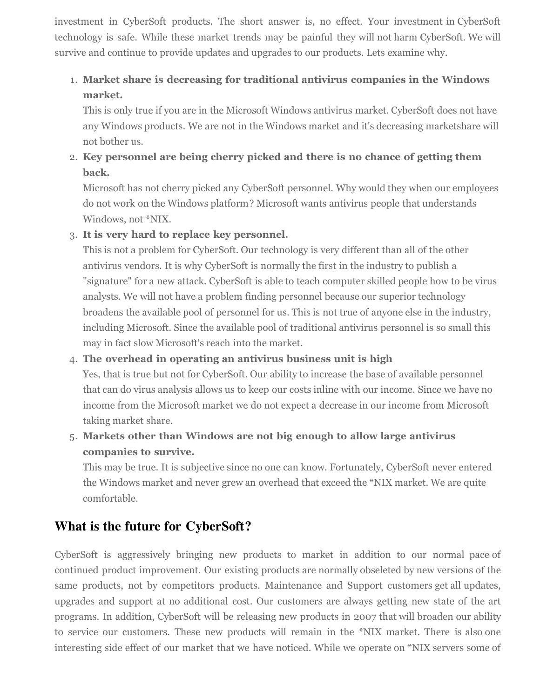investment in CyberSoft products. The short answer is, no effect. Your investment in CyberSoft technology is safe. While these market trends may be painful they will not harm CyberSoft. We will survive and continue to provide updates and upgrades to our products. Lets examine why.

### 1. **Market share is decreasing for traditional antivirus companies in the Windows market.**

This is only true if you are in the Microsoft Windows antivirus market. CyberSoft does not have any Windows products. We are not in the Windows market and it's decreasing marketshare will not bother us.

2. **Key personnel are being cherry picked and there is no chance of getting them back.**

Microsoft has not cherry picked any CyberSoft personnel. Why would they when our employees do not work on the Windows platform? Microsoft wants antivirus people that understands Windows, not \*NIX.

3. **It is very hard to replace key personnel.**

This is not a problem for CyberSoft. Our technology is very different than all of the other antivirus vendors. It is why CyberSoft is normally the first in the industry to publish a "signature" for a new attack. CyberSoft is able to teach computer skilled people how to be virus analysts. We will not have a problem finding personnel because our superior technology broadens the available pool of personnel for us. This is not true of anyone else in the industry, including Microsoft. Since the available pool of traditional antivirus personnel is so small this may in fact slow Microsoft's reach into the market.

#### 4. **The overhead in operating an antivirus business unit is high**

Yes, that is true but not for CyberSoft. Our ability to increase the base of available personnel that can do virus analysis allows us to keep our costs inline with our income. Since we have no income from the Microsoft market we do not expect a decrease in our income from Microsoft taking market share.

5. **Markets other than Windows are not big enough to allow large antivirus companies to survive.**

This may be true. It is subjective since no one can know. Fortunately, CyberSoft never entered the Windows market and never grew an overhead that exceed the \*NIX market. We are quite comfortable.

### **What is the future for CyberSoft?**

CyberSoft is aggressively bringing new products to market in addition to our normal pace of continued product improvement. Our existing products are normally obseleted by new versions of the same products, not by competitors products. Maintenance and Support customers get all updates, upgrades and support at no additional cost. Our customers are always getting new state of the art programs. In addition, CyberSoft will be releasing new products in 2007 that will broaden our ability to service our customers. These new products will remain in the \*NIX market. There is also one interesting side effect of our market that we have noticed. While we operate on \*NIX servers some of